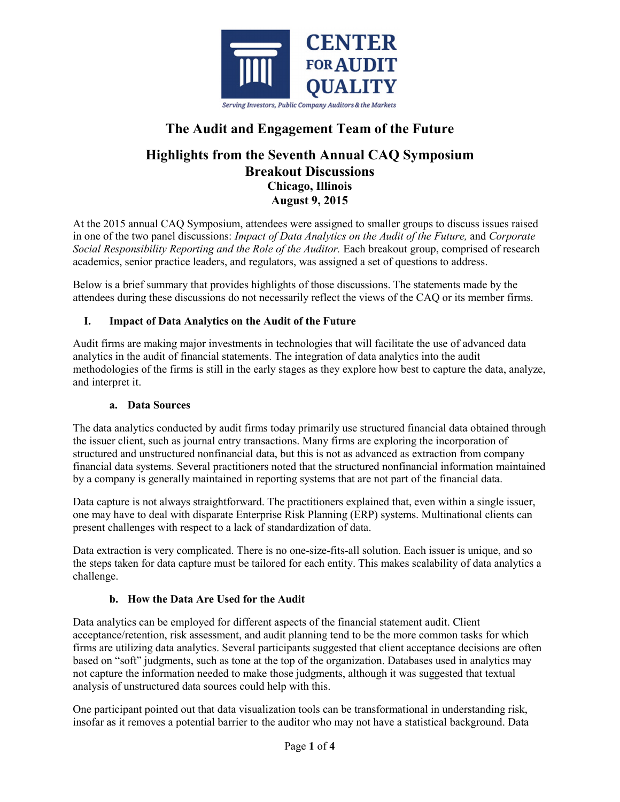

# **The Audit and Engagement Team of the Future**

# **Highlights from the Seventh Annual CAQ Symposium Breakout Discussions Chicago, Illinois August 9, 2015**

At the 2015 annual CAQ Symposium, attendees were assigned to smaller groups to discuss issues raised in one of the two panel discussions: *Impact of Data Analytics on the Audit of the Future,* and *Corporate Social Responsibility Reporting and the Role of the Auditor.* Each breakout group, comprised of research academics, senior practice leaders, and regulators, was assigned a set of questions to address.

Below is a brief summary that provides highlights of those discussions. The statements made by the attendees during these discussions do not necessarily reflect the views of the CAQ or its member firms.

# **I. Impact of Data Analytics on the Audit of the Future**

Audit firms are making major investments in technologies that will facilitate the use of advanced data analytics in the audit of financial statements. The integration of data analytics into the audit methodologies of the firms is still in the early stages as they explore how best to capture the data, analyze, and interpret it.

#### **a. Data Sources**

The data analytics conducted by audit firms today primarily use structured financial data obtained through the issuer client, such as journal entry transactions. Many firms are exploring the incorporation of structured and unstructured nonfinancial data, but this is not as advanced as extraction from company financial data systems. Several practitioners noted that the structured nonfinancial information maintained by a company is generally maintained in reporting systems that are not part of the financial data.

Data capture is not always straightforward. The practitioners explained that, even within a single issuer, one may have to deal with disparate Enterprise Risk Planning (ERP) systems. Multinational clients can present challenges with respect to a lack of standardization of data.

Data extraction is very complicated. There is no one-size-fits-all solution. Each issuer is unique, and so the steps taken for data capture must be tailored for each entity. This makes scalability of data analytics a challenge.

# **b. How the Data Are Used for the Audit**

Data analytics can be employed for different aspects of the financial statement audit. Client acceptance/retention, risk assessment, and audit planning tend to be the more common tasks for which firms are utilizing data analytics. Several participants suggested that client acceptance decisions are often based on "soft" judgments, such as tone at the top of the organization. Databases used in analytics may not capture the information needed to make those judgments, although it was suggested that textual analysis of unstructured data sources could help with this.

One participant pointed out that data visualization tools can be transformational in understanding risk, insofar as it removes a potential barrier to the auditor who may not have a statistical background. Data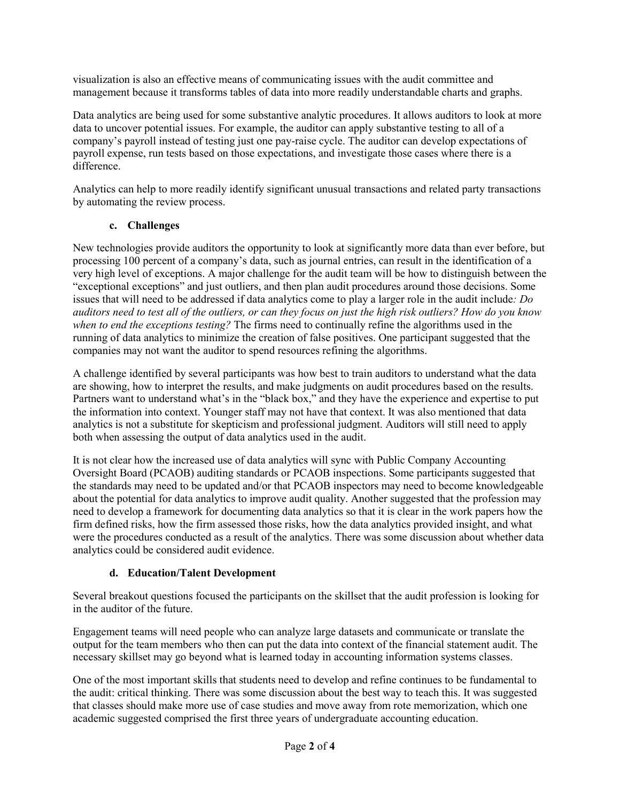visualization is also an effective means of communicating issues with the audit committee and management because it transforms tables of data into more readily understandable charts and graphs.

Data analytics are being used for some substantive analytic procedures. It allows auditors to look at more data to uncover potential issues. For example, the auditor can apply substantive testing to all of a company's payroll instead of testing just one pay-raise cycle. The auditor can develop expectations of payroll expense, run tests based on those expectations, and investigate those cases where there is a difference.

Analytics can help to more readily identify significant unusual transactions and related party transactions by automating the review process.

# **c. Challenges**

New technologies provide auditors the opportunity to look at significantly more data than ever before, but processing 100 percent of a company's data, such as journal entries, can result in the identification of a very high level of exceptions. A major challenge for the audit team will be how to distinguish between the "exceptional exceptions" and just outliers, and then plan audit procedures around those decisions. Some issues that will need to be addressed if data analytics come to play a larger role in the audit include*: Do auditors need to test all of the outliers, or can they focus on just the high risk outliers? How do you know when to end the exceptions testing?* The firms need to continually refine the algorithms used in the running of data analytics to minimize the creation of false positives. One participant suggested that the companies may not want the auditor to spend resources refining the algorithms.

A challenge identified by several participants was how best to train auditors to understand what the data are showing, how to interpret the results, and make judgments on audit procedures based on the results. Partners want to understand what's in the "black box," and they have the experience and expertise to put the information into context. Younger staff may not have that context. It was also mentioned that data analytics is not a substitute for skepticism and professional judgment. Auditors will still need to apply both when assessing the output of data analytics used in the audit.

It is not clear how the increased use of data analytics will sync with Public Company Accounting Oversight Board (PCAOB) auditing standards or PCAOB inspections. Some participants suggested that the standards may need to be updated and/or that PCAOB inspectors may need to become knowledgeable about the potential for data analytics to improve audit quality. Another suggested that the profession may need to develop a framework for documenting data analytics so that it is clear in the work papers how the firm defined risks, how the firm assessed those risks, how the data analytics provided insight, and what were the procedures conducted as a result of the analytics. There was some discussion about whether data analytics could be considered audit evidence.

# **d. Education/Talent Development**

Several breakout questions focused the participants on the skillset that the audit profession is looking for in the auditor of the future.

Engagement teams will need people who can analyze large datasets and communicate or translate the output for the team members who then can put the data into context of the financial statement audit. The necessary skillset may go beyond what is learned today in accounting information systems classes.

One of the most important skills that students need to develop and refine continues to be fundamental to the audit: critical thinking. There was some discussion about the best way to teach this. It was suggested that classes should make more use of case studies and move away from rote memorization, which one academic suggested comprised the first three years of undergraduate accounting education.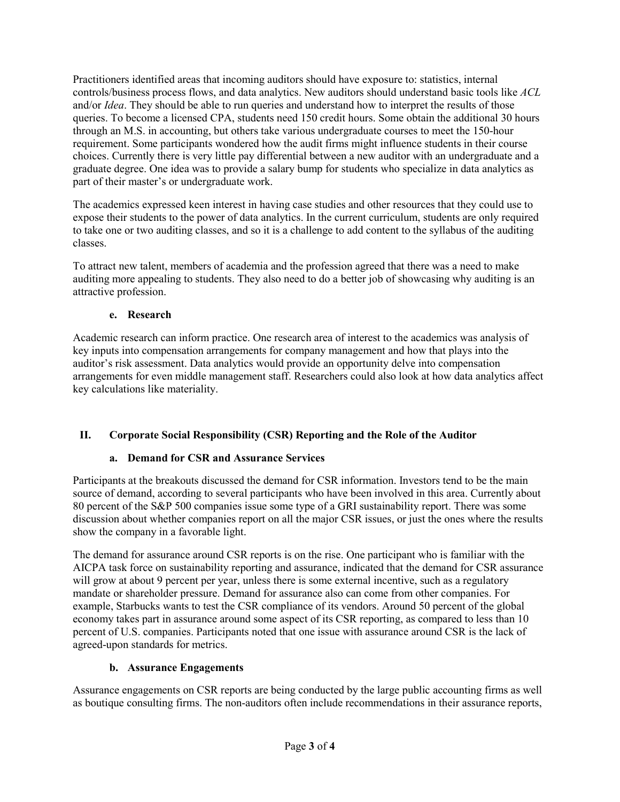Practitioners identified areas that incoming auditors should have exposure to: statistics, internal controls/business process flows, and data analytics. New auditors should understand basic tools like *ACL* and/or *Idea*. They should be able to run queries and understand how to interpret the results of those queries. To become a licensed CPA, students need 150 credit hours. Some obtain the additional 30 hours through an M.S. in accounting, but others take various undergraduate courses to meet the 150-hour requirement. Some participants wondered how the audit firms might influence students in their course choices. Currently there is very little pay differential between a new auditor with an undergraduate and a graduate degree. One idea was to provide a salary bump for students who specialize in data analytics as part of their master's or undergraduate work.

The academics expressed keen interest in having case studies and other resources that they could use to expose their students to the power of data analytics. In the current curriculum, students are only required to take one or two auditing classes, and so it is a challenge to add content to the syllabus of the auditing classes.

To attract new talent, members of academia and the profession agreed that there was a need to make auditing more appealing to students. They also need to do a better job of showcasing why auditing is an attractive profession.

#### **e. Research**

Academic research can inform practice. One research area of interest to the academics was analysis of key inputs into compensation arrangements for company management and how that plays into the auditor's risk assessment. Data analytics would provide an opportunity delve into compensation arrangements for even middle management staff. Researchers could also look at how data analytics affect key calculations like materiality.

# **II. Corporate Social Responsibility (CSR) Reporting and the Role of the Auditor**

# **a. Demand for CSR and Assurance Services**

Participants at the breakouts discussed the demand for CSR information. Investors tend to be the main source of demand, according to several participants who have been involved in this area. Currently about 80 percent of the S&P 500 companies issue some type of a GRI sustainability report. There was some discussion about whether companies report on all the major CSR issues, or just the ones where the results show the company in a favorable light.

The demand for assurance around CSR reports is on the rise. One participant who is familiar with the AICPA task force on sustainability reporting and assurance, indicated that the demand for CSR assurance will grow at about 9 percent per year, unless there is some external incentive, such as a regulatory mandate or shareholder pressure. Demand for assurance also can come from other companies. For example, Starbucks wants to test the CSR compliance of its vendors. Around 50 percent of the global economy takes part in assurance around some aspect of its CSR reporting, as compared to less than 10 percent of U.S. companies. Participants noted that one issue with assurance around CSR is the lack of agreed-upon standards for metrics.

# **b. Assurance Engagements**

Assurance engagements on CSR reports are being conducted by the large public accounting firms as well as boutique consulting firms. The non-auditors often include recommendations in their assurance reports,